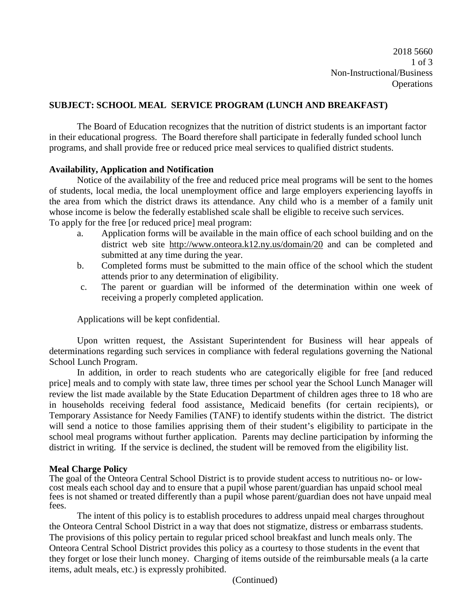2018 5660 1 of 3 Non-Instructional/Business **Operations** 

#### **SUBJECT: SCHOOL MEAL SERVICE PROGRAM (LUNCH AND BREAKFAST)**

The Board of Education recognizes that the nutrition of district students is an important factor in their educational progress. The Board therefore shall participate in federally funded school lunch programs, and shall provide free or reduced price meal services to qualified district students.

#### **Availability, Application and Notification**

Notice of the availability of the free and reduced price meal programs will be sent to the homes of students, local media, the local unemployment office and large employers experiencing layoffs in the area from which the district draws its attendance. Any child who is a member of a family unit whose income is below the federally established scale shall be eligible to receive such services. To apply for the free [or reduced price] meal program:

- a. Application forms will be available in the main office of each school building and on the district web site <http://www.onteora.k12.ny.us/domain/20> and can be completed and submitted at any time during the year.
- b. Completed forms must be submitted to the main office of the school which the student attends prior to any determination of eligibility.
- c. The parent or guardian will be informed of the determination within one week of receiving a properly completed application.

Applications will be kept confidential.

Upon written request, the Assistant Superintendent for Business will hear appeals of determinations regarding such services in compliance with federal regulations governing the National School Lunch Program.

In addition, in order to reach students who are categorically eligible for free [and reduced price] meals and to comply with state law, three times per school year the School Lunch Manager will review the list made available by the State Education Department of children ages three to 18 who are in households receiving federal food assistance, Medicaid benefits (for certain recipients), or Temporary Assistance for Needy Families (TANF) to identify students within the district. The district will send a notice to those families apprising them of their student's eligibility to participate in the school meal programs without further application. Parents may decline participation by informing the district in writing. If the service is declined, the student will be removed from the eligibility list.

**Meal Charge Policy**<br>The goal of the Onteora Central School District is to provide student access to nutritious no- or lowcost meals each school day and to ensure that a pupil whose parent/guardian has unpaid school meal fees is not shamed or treated differently than a pupil whose parent/guardian does not have unpaid meal fees.

The intent of this policy is to establish procedures to address unpaid meal charges throughout the Onteora Central School District in a way that does not stigmatize, distress or embarrass students. The provisions of this policy pertain to regular priced school breakfast and lunch meals only. The Onteora Central School District provides this policy as a courtesy to those students in the event that they forget or lose their lunch money. Charging of items outside of the reimbursable meals (a la carte items, adult meals, etc.) is expressly prohibited.

(Continued)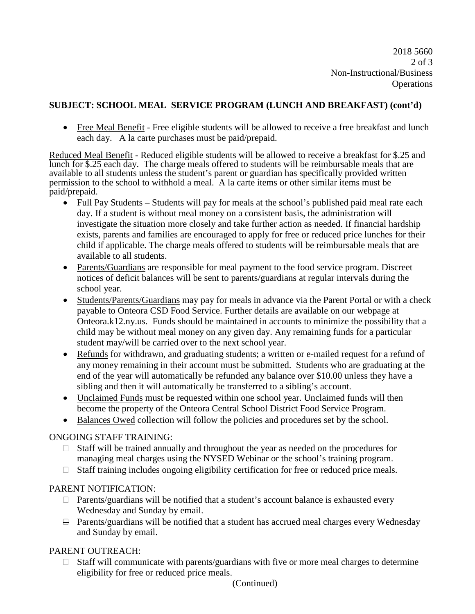2018 5660 2 of 3 Non-Instructional/Business **Operations** 

## **SUBJECT: SCHOOL MEAL SERVICE PROGRAM (LUNCH AND BREAKFAST) (cont'd)**

• Free Meal Benefit - Free eligible students will be allowed to receive a free breakfast and lunch each day. A la carte purchases must be paid/prepaid.

Reduced Meal Benefit - Reduced eligible students will be allowed to receive a breakfast for \$.25 and lunch for \$.25 each day. The charge meals offered to students will be reimbursable meals that are available to all students unless the student's parent or guardian has specifically provided written permission to the school to withhold a meal. A la carte items or other similar items must be paid/prepaid.

- Full Pay Students Students will pay for meals at the school's published paid meal rate each day. If a student is without meal money on a consistent basis, the administration will investigate the situation more closely and take further action as needed. If financial hardship exists, parents and families are encouraged to apply for free or reduced price lunches for their child if applicable. The charge meals offered to students will be reimbursable meals that are available to all students.
- Parents/Guardians are responsible for meal payment to the food service program. Discreet notices of deficit balances will be sent to parents/guardians at regular intervals during the school year.
- Students/Parents/Guardians may pay for meals in advance via the Parent Portal or with a check payable to Onteora CSD Food Service. Further details are available on our webpage at Onteora.k12.ny.us. Funds should be maintained in accounts to minimize the possibility that a child may be without meal money on any given day. Any remaining funds for a particular student may/will be carried over to the next school year.
- Refunds for withdrawn, and graduating students; a written or e-mailed request for a refund of any money remaining in their account must be submitted. Students who are graduating at the end of the year will automatically be refunded any balance over \$10.00 unless they have a sibling and then it will automatically be transferred to a sibling's account.
- Unclaimed Funds must be requested within one school year. Unclaimed funds will then become the property of the Onteora Central School District Food Service Program.
- Balances Owed collection will follow the policies and procedures set by the school.

#### ONGOING STAFF TRAINING:

- Staff will be trained annually and throughout the year as needed on the procedures for managing meal charges using the NYSED Webinar or the school's training program.
- $\Box$  Staff training includes ongoing eligibility certification for free or reduced price meals.

#### PARENT NOTIFICATION:

- $\Box$  Parents/guardians will be notified that a student's account balance is exhausted every Wednesday and Sunday by email.
- $\Box$  Parents/guardians will be notified that a student has accrued meal charges every Wednesday and Sunday by email.

# PARENT OUTREACH:

 $\Box$  Staff will communicate with parents/guardians with five or more meal charges to determine eligibility for free or reduced price meals.